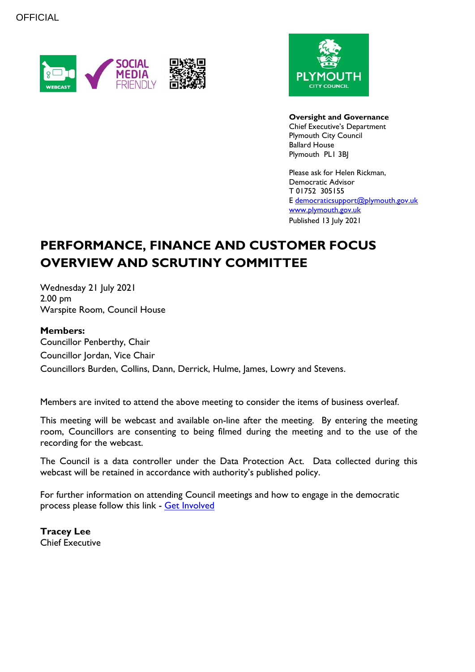



**Oversight and Governance** Chief Executive's Department Plymouth City Council Ballard House Plymouth PL1 3BJ

Please ask for Helen Rickman, Democratic Advisor T 01752 305155 E [democraticsupport@plymouth.gov.uk](mailto:democraticsupport@plymouth.gov.uk) [www.plymouth.gov.uk](https://www.plymouth.gov.uk/councillorscommitteesandmeetings) Published 13 July 2021

# **PERFORMANCE, FINANCE AND CUSTOMER FOCUS OVERVIEW AND SCRUTINY COMMITTEE**

Wednesday 21 July 2021 2.00 pm Warspite Room, Council House

#### **Members:**

Councillor Penberthy, Chair Councillor Jordan, Vice Chair Councillors Burden, Collins, Dann, Derrick, Hulme, James, Lowry and Stevens.

Members are invited to attend the above meeting to consider the items of business overleaf.

This meeting will be webcast and available on-line after the meeting. By entering the meeting room, Councillors are consenting to being filmed during the meeting and to the use of the recording for the webcast.

The Council is a data controller under the Data Protection Act. Data collected during this webcast will be retained in accordance with authority's published policy.

For further information on attending Council meetings and how to engage in the democratic process please follow this link - [Get Involved](https://www.plymouth.gov.uk/councillorscommitteesandmeetings/getinvolved)

**Tracey Lee** Chief Executive